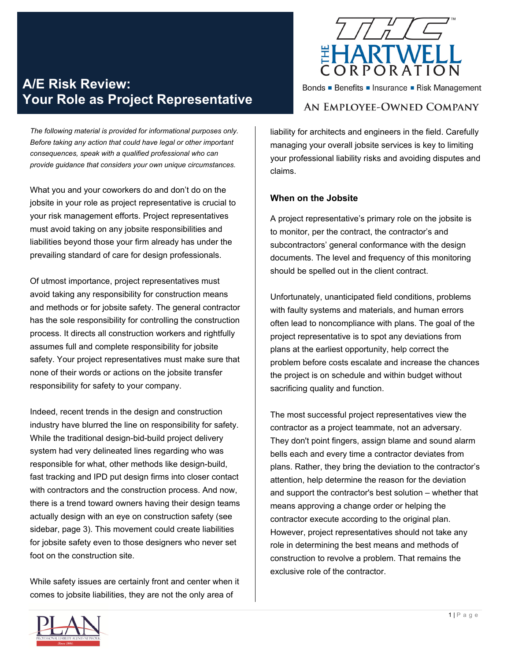# **A/E Risk Review: Your Role as Project Representative**

*The following material is provided for informational purposes only. Before taking any action that could have legal or other important consequences, speak with a qualified professional who can provide guidance that considers your own unique circumstances.* 

What you and your coworkers do and don't do on the jobsite in your role as project representative is crucial to your risk management efforts. Project representatives must avoid taking on any jobsite responsibilities and liabilities beyond those your firm already has under the prevailing standard of care for design professionals.

Of utmost importance, project representatives must avoid taking any responsibility for construction means and methods or for jobsite safety. The general contractor has the sole responsibility for controlling the construction process. It directs all construction workers and rightfully assumes full and complete responsibility for jobsite safety. Your project representatives must make sure that none of their words or actions on the jobsite transfer responsibility for safety to your company.

Indeed, recent trends in the design and construction industry have blurred the line on responsibility for safety. While the traditional design-bid-build project delivery system had very delineated lines regarding who was responsible for what, other methods like design-build, fast tracking and IPD put design firms into closer contact with contractors and the construction process. And now, there is a trend toward owners having their design teams actually design with an eye on construction safety (see sidebar, page 3). This movement could create liabilities for jobsite safety even to those designers who never set foot on the construction site.

While safety issues are certainly front and center when it comes to jobsite liabilities, they are not the only area of



Bonds ■ Benefits ■ Insurance ■ Risk Management

# AN EMPLOYEE-OWNED COMPANY

liability for architects and engineers in the field. Carefully managing your overall jobsite services is key to limiting your professional liability risks and avoiding disputes and claims.

#### **When on the Jobsite**

A project representative's primary role on the jobsite is to monitor, per the contract, the contractor's and subcontractors' general conformance with the design documents. The level and frequency of this monitoring should be spelled out in the client contract.

Unfortunately, unanticipated field conditions, problems with faulty systems and materials, and human errors often lead to noncompliance with plans. The goal of the project representative is to spot any deviations from plans at the earliest opportunity, help correct the problem before costs escalate and increase the chances the project is on schedule and within budget without sacrificing quality and function.

The most successful project representatives view the contractor as a project teammate, not an adversary. They don't point fingers, assign blame and sound alarm bells each and every time a contractor deviates from plans. Rather, they bring the deviation to the contractor's attention, help determine the reason for the deviation and support the contractor's best solution – whether that means approving a change order or helping the contractor execute according to the original plan. However, project representatives should not take any role in determining the best means and methods of construction to revolve a problem. That remains the exclusive role of the contractor.

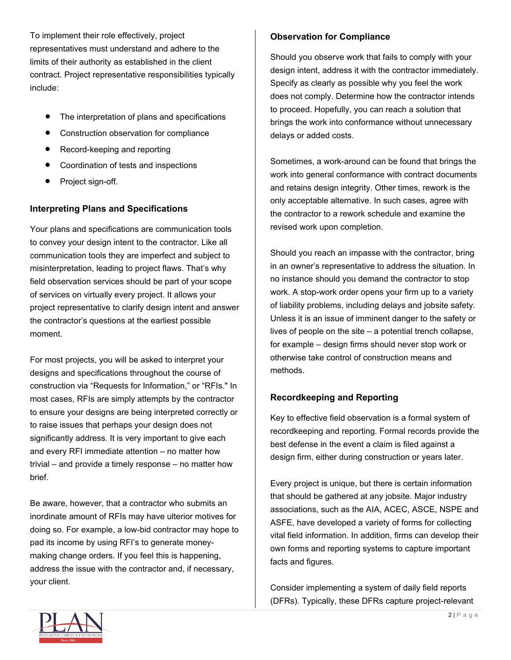To implement their role effectively, project representatives must understand and adhere to the limits of their authority as established in the client contract. Project representative responsibilities typically include:

- The interpretation of plans and specifications
- Construction observation for compliance
- Record-keeping and reporting
- Coordination of tests and inspections
- Project sign-off.

# **Interpreting Plans and Specifications**

Your plans and specifications are communication tools to convey your design intent to the contractor. Like all communication tools they are imperfect and subject to misinterpretation, leading to project flaws. That's why field observation services should be part of your scope of services on virtually every project. It allows your project representative to clarify design intent and answer the contractor's questions at the earliest possible moment.

For most projects, you will be asked to interpret your designs and specifications throughout the course of construction via "Requests for Information," or "RFIs." In most cases, RFIs are simply attempts by the contractor to ensure your designs are being interpreted correctly or to raise issues that perhaps your design does not significantly address. It is very important to give each and every RFI immediate attention – no matter how trivial – and provide a timely response – no matter how brief.

Be aware, however, that a contractor who submits an inordinate amount of RFIs may have ulterior motives for doing so. For example, a low-bid contractor may hope to pad its income by using RFI's to generate moneymaking change orders. If you feel this is happening, address the issue with the contractor and, if necessary, your client.

# **Observation for Compliance**

Should you observe work that fails to comply with your design intent, address it with the contractor immediately. Specify as clearly as possible why you feel the work does not comply. Determine how the contractor intends to proceed. Hopefully, you can reach a solution that brings the work into conformance without unnecessary delays or added costs.

Sometimes, a work-around can be found that brings the work into general conformance with contract documents and retains design integrity. Other times, rework is the only acceptable alternative. In such cases, agree with the contractor to a rework schedule and examine the revised work upon completion.

Should you reach an impasse with the contractor, bring in an owner's representative to address the situation. In no instance should you demand the contractor to stop work. A stop-work order opens your firm up to a variety of liability problems, including delays and jobsite safety. Unless it is an issue of imminent danger to the safety or lives of people on the site – a potential trench collapse, for example – design firms should never stop work or otherwise take control of construction means and methods.

# **Recordkeeping and Reporting**

Key to effective field observation is a formal system of recordkeeping and reporting. Formal records provide the best defense in the event a claim is filed against a design firm, either during construction or years later.

Every project is unique, but there is certain information that should be gathered at any jobsite. Major industry associations, such as the AIA, ACEC, ASCE, NSPE and ASFE, have developed a variety of forms for collecting vital field information. In addition, firms can develop their own forms and reporting systems to capture important facts and figures.

Consider implementing a system of daily field reports (DFRs). Typically, these DFRs capture project-relevant

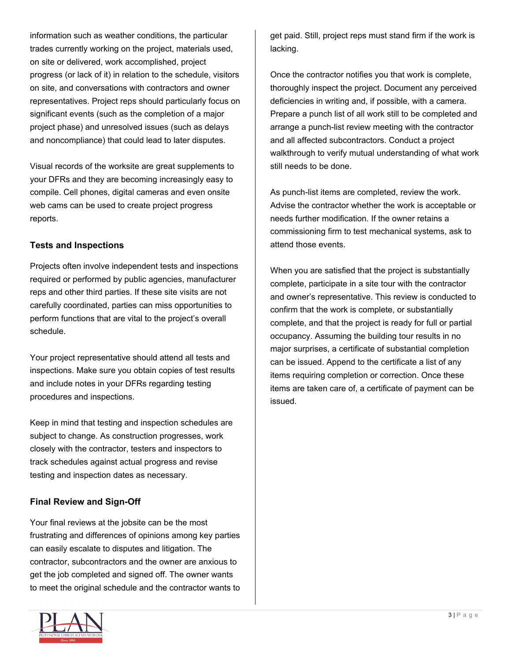information such as weather conditions, the particular trades currently working on the project, materials used, on site or delivered, work accomplished, project progress (or lack of it) in relation to the schedule, visitors on site, and conversations with contractors and owner representatives. Project reps should particularly focus on significant events (such as the completion of a major project phase) and unresolved issues (such as delays and noncompliance) that could lead to later disputes.

Visual records of the worksite are great supplements to your DFRs and they are becoming increasingly easy to compile. Cell phones, digital cameras and even onsite web cams can be used to create project progress reports.

#### **Tests and Inspections**

Projects often involve independent tests and inspections required or performed by public agencies, manufacturer reps and other third parties. If these site visits are not carefully coordinated, parties can miss opportunities to perform functions that are vital to the project's overall schedule.

Your project representative should attend all tests and inspections. Make sure you obtain copies of test results and include notes in your DFRs regarding testing procedures and inspections.

Keep in mind that testing and inspection schedules are subject to change. As construction progresses, work closely with the contractor, testers and inspectors to track schedules against actual progress and revise testing and inspection dates as necessary.

# **Final Review and Sign-Off**

Your final reviews at the jobsite can be the most frustrating and differences of opinions among key parties can easily escalate to disputes and litigation. The contractor, subcontractors and the owner are anxious to get the job completed and signed off. The owner wants to meet the original schedule and the contractor wants to



Once the contractor notifies you that work is complete, thoroughly inspect the project. Document any perceived deficiencies in writing and, if possible, with a camera. Prepare a punch list of all work still to be completed and arrange a punch-list review meeting with the contractor and all affected subcontractors. Conduct a project walkthrough to verify mutual understanding of what work still needs to be done.

As punch-list items are completed, review the work. Advise the contractor whether the work is acceptable or needs further modification. If the owner retains a commissioning firm to test mechanical systems, ask to attend those events.

When you are satisfied that the project is substantially complete, participate in a site tour with the contractor and owner's representative. This review is conducted to confirm that the work is complete, or substantially complete, and that the project is ready for full or partial occupancy. Assuming the building tour results in no major surprises, a certificate of substantial completion can be issued. Append to the certificate a list of any items requiring completion or correction. Once these items are taken care of, a certificate of payment can be issued.